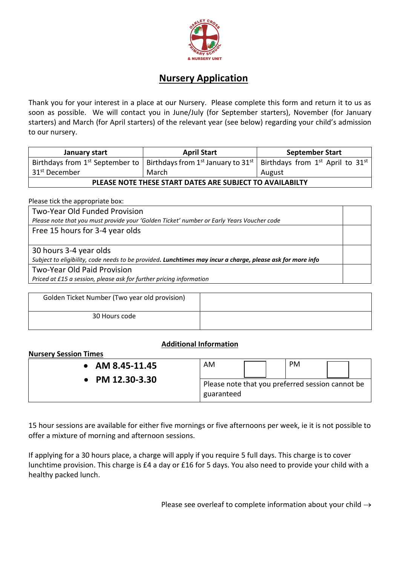

## **Nursery Application**

Thank you for your interest in a place at our Nursery. Please complete this form and return it to us as soon as possible. We will contact you in June/July (for September starters), November (for January starters) and March (for April starters) of the relevant year (see below) regarding your child's admission to our nursery.

| January start                                            | <b>April Start</b>                                                                                                                                                  | <b>September Start</b> |  |  |
|----------------------------------------------------------|---------------------------------------------------------------------------------------------------------------------------------------------------------------------|------------------------|--|--|
|                                                          | Birthdays from 1 <sup>st</sup> September to   Birthdays from 1 <sup>st</sup> January to 31 <sup>st</sup>   Birthdays from 1 <sup>st</sup> April to 31 <sup>st</sup> |                        |  |  |
| 31 <sup>st</sup> December                                | March                                                                                                                                                               | August                 |  |  |
| PLEASE NOTE THESE START DATES ARE SUBJECT TO AVAILABILTY |                                                                                                                                                                     |                        |  |  |

Please tick the appropriate box:

Two-Year Old Funded Provision *Please note that you must provide your 'Golden Ticket' number or Early Years Voucher code* Free 15 hours for 3-4 year olds 30 hours 3-4 year olds *Subject to eligibility, code needs to be provided. Lunchtimes may incur a charge, please ask for more info* Two-Year Old Paid Provision *Priced at £15 a session, please ask for further pricing information*

| Golden Ticket Number (Two year old provision) |  |
|-----------------------------------------------|--|
| 30 Hours code                                 |  |

## **Additional Information**

## **Nursery Session Times**

| AM 8.45-11.45       | AM                                                             |  | <b>PM</b> |  |
|---------------------|----------------------------------------------------------------|--|-----------|--|
| • PM $12.30 - 3.30$ | Please note that you preferred session cannot be<br>guaranteed |  |           |  |

15 hour sessions are available for either five mornings or five afternoons per week, ie it is not possible to offer a mixture of morning and afternoon sessions.

If applying for a 30 hours place, a charge will apply if you require 5 full days. This charge is to cover lunchtime provision. This charge is £4 a day or £16 for 5 days. You also need to provide your child with a healthy packed lunch.

Please see overleaf to complete information about your child  $\rightarrow$